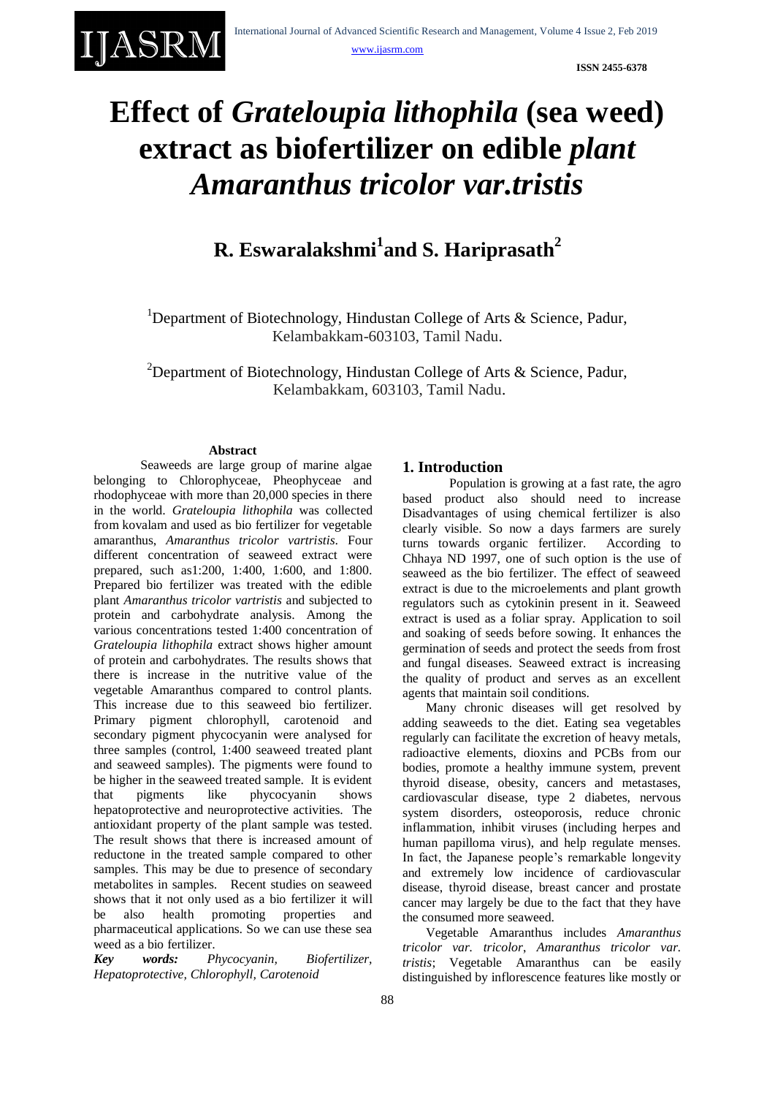

**ISSN 2455-6378**

# **Effect of** *Grateloupia lithophila* **(sea weed) extract as biofertilizer on edible** *plant Amaranthus tricolor var.tristis*

# **R. Eswaralakshmi<sup>1</sup> and S. Hariprasath<sup>2</sup>**

<sup>1</sup>Department of Biotechnology, Hindustan College of Arts  $\&$  Science, Padur, Kelambakkam-603103, Tamil Nadu.

<sup>2</sup>Department of Biotechnology, Hindustan College of Arts  $\&$  Science, Padur, Kelambakkam, 603103, Tamil Nadu.

# **Abstract**

Seaweeds are large group of marine algae belonging to Chlorophyceae, Pheophyceae and rhodophyceae with more than 20,000 species in there in the world. *Grateloupia lithophila* was collected from kovalam and used as bio fertilizer for vegetable amaranthus, *Amaranthus tricolor vartristis*. Four different concentration of seaweed extract were prepared, such as1:200, 1:400, 1:600, and 1:800. Prepared bio fertilizer was treated with the edible plant *Amaranthus tricolor vartristis* and subjected to protein and carbohydrate analysis. Among the various concentrations tested 1:400 concentration of *Grateloupia lithophila* extract shows higher amount of protein and carbohydrates. The results shows that there is increase in the nutritive value of the vegetable Amaranthus compared to control plants. This increase due to this seaweed bio fertilizer. Primary pigment chlorophyll, carotenoid and secondary pigment phycocyanin were analysed for three samples (control, 1:400 seaweed treated plant and seaweed samples). The pigments were found to be higher in the seaweed treated sample. It is evident that pigments like phycocyanin shows hepatoprotective and neuroprotective activities. The antioxidant property of the plant sample was tested. The result shows that there is increased amount of reductone in the treated sample compared to other samples. This may be due to presence of secondary metabolites in samples. Recent studies on seaweed shows that it not only used as a bio fertilizer it will be also health promoting properties and pharmaceutical applications. So we can use these sea weed as a bio fertilizer.

*Key words: Phycocyanin, Biofertilizer, Hepatoprotective, Chlorophyll, Carotenoid*

# **1. Introduction**

Population is growing at a fast rate, the agro based product also should need to increase Disadvantages of using chemical fertilizer is also clearly visible. So now a days farmers are surely turns towards organic fertilizer. According to Chhaya ND 1997, one of such option is the use of seaweed as the bio fertilizer. The effect of seaweed extract is due to the microelements and plant growth regulators such as cytokinin present in it. Seaweed extract is used as a foliar spray. Application to soil and soaking of seeds before sowing. It enhances the germination of seeds and protect the seeds from frost and fungal diseases. Seaweed extract is increasing the quality of product and serves as an excellent agents that maintain soil conditions.

Many chronic diseases will get resolved by adding seaweeds to the diet. Eating sea vegetables regularly can facilitate the excretion of heavy metals, radioactive elements, dioxins and PCBs from our bodies, promote a healthy immune system, prevent thyroid disease, obesity, cancers and metastases, cardiovascular disease, type 2 diabetes, nervous system disorders, osteoporosis, reduce chronic inflammation, inhibit viruses (including herpes and human papilloma virus), and help regulate menses. In fact, the Japanese people's remarkable longevity and extremely low incidence of cardiovascular disease, thyroid disease, breast cancer and prostate cancer may largely be due to the fact that they have the consumed more seaweed.

Vegetable Amaranthus includes *Amaranthus tricolor var. tricolor*, *Amaranthus tricolor var. tristis*; Vegetable Amaranthus can be easily distinguished by inflorescence features like mostly or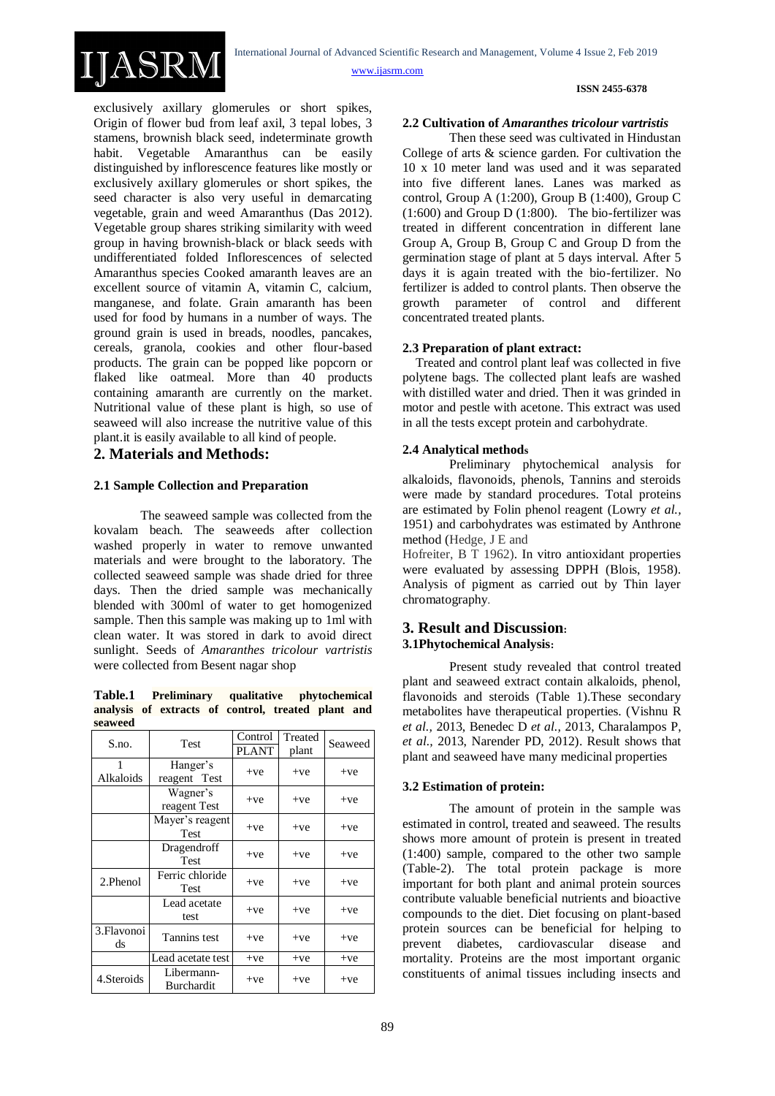#### **ISSN 2455-6378**

exclusively axillary glomerules or short spikes, Origin of flower bud from leaf axil, 3 tepal lobes, 3 stamens, brownish black seed, indeterminate growth habit. Vegetable Amaranthus can be easily distinguished by inflorescence features like mostly or exclusively axillary glomerules or short spikes, the seed character is also very useful in demarcating vegetable, grain and weed Amaranthus (Das 2012). Vegetable group shares striking similarity with weed group in having brownish-black or black seeds with undifferentiated folded Inflorescences of selected Amaranthus species Cooked amaranth leaves are an excellent source of vitamin A, vitamin C, calcium, manganese, and folate. Grain amaranth has been used for food by humans in a number of ways. The ground grain is used in breads, noodles, pancakes, cereals, granola, cookies and other flour-based products. The grain can be popped like popcorn or flaked like oatmeal. More than 40 products containing amaranth are currently on the market. Nutritional value of these plant is high, so use of seaweed will also increase the nutritive value of this plant.it is easily available to all kind of people.

# **2. Materials and Methods:**

IJASRN

### **2.1 Sample Collection and Preparation**

The seaweed sample was collected from the kovalam beach. The seaweeds after collection washed properly in water to remove unwanted materials and were brought to the laboratory. The collected seaweed sample was shade dried for three days. Then the dried sample was mechanically blended with 300ml of water to get homogenized sample. Then this sample was making up to 1ml with clean water. It was stored in dark to avoid direct sunlight. Seeds of *Amaranthes tricolour vartristis* were collected from Besent nagar shop

#### **Table.1 Preliminary qualitative phytochemical analysis of extracts of control, treated plant and seaweed**

| S.no.             | Test                            | Control<br><b>PLANT</b> | Treated<br>plant | Seaweed |
|-------------------|---------------------------------|-------------------------|------------------|---------|
| Alkaloids         | Hanger's<br>reagent Test        | $+ve$                   | $+ve$            | $+ve$   |
|                   | Wagner's<br>reagent Test        | $+ve$                   | $+ve$            | $+ve$   |
|                   | Mayer's reagent<br><b>Test</b>  | $+ve$                   | $+ve$            | $+ve$   |
|                   | Dragendroff<br><b>Test</b>      | $+ve$                   | $+ve$            | $+ve$   |
| 2.Phenol          | Ferric chloride<br>Test         | $+ve$                   | $+ve$            | $+ve$   |
|                   | Lead acetate<br>test            | $+ve$                   | $+ve$            | $+ve$   |
| 3. Flavonoi<br>ds | Tannins test                    | $+ve$                   | $+ve$            | $+ve$   |
|                   | Lead acetate test               | $+ve$                   | $+ve$            | $+ve$   |
| 4. Steroids       | Libermann-<br><b>Burchardit</b> | $+ve$                   | $+ve$            | $+ve$   |

#### **2.2 Cultivation of** *Amaranthes tricolour vartristis*

Then these seed was cultivated in Hindustan College of arts & science garden. For cultivation the 10 x 10 meter land was used and it was separated into five different lanes. Lanes was marked as control, Group A (1:200), Group B (1:400), Group C (1:600) and Group D (1:800). The bio-fertilizer was treated in different concentration in different lane Group A, Group B, Group C and Group D from the germination stage of plant at 5 days interval. After 5 days it is again treated with the bio-fertilizer. No fertilizer is added to control plants. Then observe the growth parameter of control and different concentrated treated plants.

#### **2.3 Preparation of plant extract:**

 Treated and control plant leaf was collected in five polytene bags. The collected plant leafs are washed with distilled water and dried. Then it was grinded in motor and pestle with acetone. This extract was used in all the tests except protein and carbohydrate.

#### **2.4 Analytical methods**

Preliminary phytochemical analysis for alkaloids, flavonoids, phenols, Tannins and steroids were made by standard procedures. Total proteins are estimated by Folin phenol reagent (Lowry *et al.,*  1951) and carbohydrates was estimated by Anthrone method (Hedge, J E and

Hofreiter, B T 1962). In vitro antioxidant properties were evaluated by assessing DPPH (Blois, 1958). Analysis of pigment as carried out by Thin layer chromatography.

# **3. Result and Discussion: 3.1Phytochemical Analysis:**

Present study revealed that control treated plant and seaweed extract contain alkaloids, phenol, flavonoids and steroids (Table 1).These secondary metabolites have therapeutical properties. (Vishnu R *et al.,* 2013, Benedec D *et al.,* 2013, Charalampos P, *et al.,* 2013, Narender PD, 2012). Result shows that plant and seaweed have many medicinal properties

# **3.2 Estimation of protein:**

The amount of protein in the sample was estimated in control, treated and seaweed. The results shows more amount of protein is present in treated (1:400) sample, compared to the other two sample (Table-2). The total protein package is more important for both plant and animal protein sources contribute valuable beneficial nutrients and bioactive compounds to the diet. Diet focusing on plant-based protein sources can be beneficial for helping to prevent diabetes, cardiovascular disease and mortality. Proteins are the most important organic constituents of animal tissues including insects and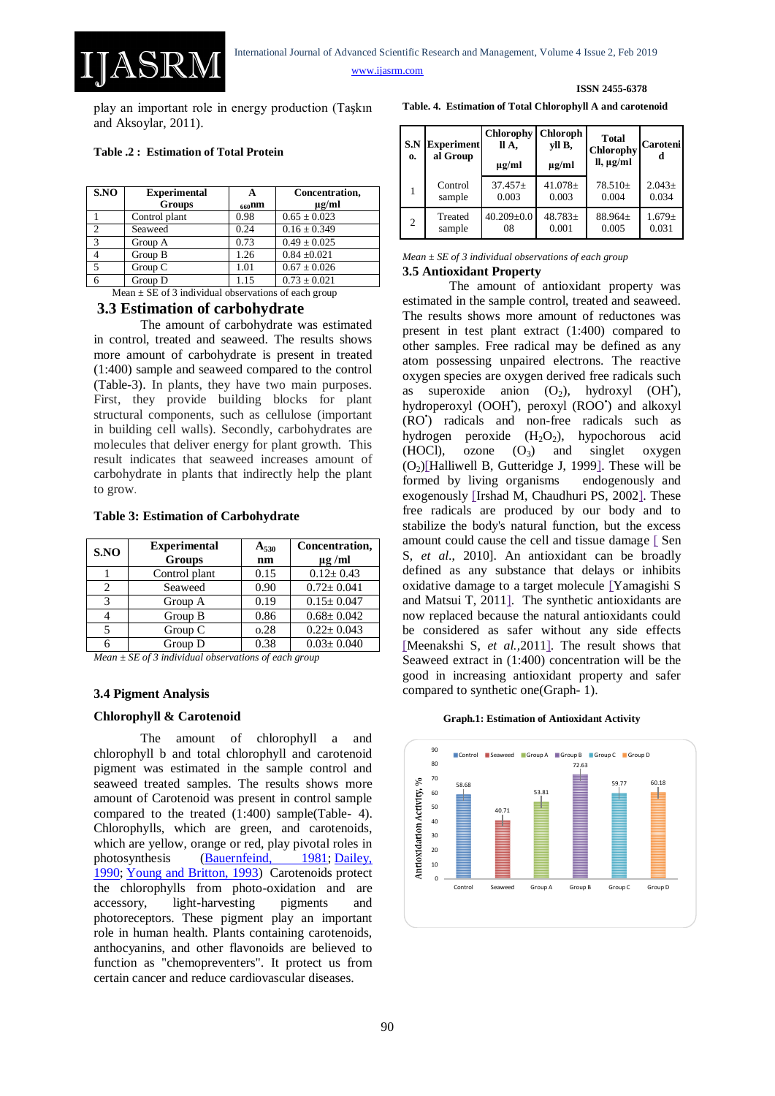**ISSN 2455-6378**

play an important role in energy production (Taşkın and Aksoylar, 2011).

### **Table .2 : Estimation of Total Protein**

ASR

| S.NO          | <b>Experimental</b><br><b>Groups</b> | A<br>$660$ nm | Concentration,<br>$\mu$ g/ml |
|---------------|--------------------------------------|---------------|------------------------------|
|               | Control plant                        | 0.98          | $0.65 \pm 0.023$             |
| $\mathcal{D}$ | Seaweed                              | 0.24          | $0.16 \pm 0.349$             |
| 3             | Group A                              | 0.73          | $0.49 \pm 0.025$             |
|               | Group B                              | 1.26          | $0.84 \pm 0.021$             |
| 5             | Group C                              | 1.01          | $0.67 \pm 0.026$             |
|               | Group D                              | 1.15          | $0.73 \pm 0.021$             |

## Mean  $\pm$  SE of 3 individual observations of each group **3.3 Estimation of carbohydrate**

The amount of carbohydrate was estimated in control, treated and seaweed. The results shows more amount of carbohydrate is present in treated (1:400) sample and seaweed compared to the control (Table-3). In plants, they have two main purposes. First, they provide building blocks for plant structural components, such as cellulose (important in building cell walls). Secondly, carbohydrates are molecules that deliver energy for plant growth. This result indicates that seaweed increases amount of carbohydrate in plants that indirectly help the plant to grow.

#### **Table 3: Estimation of Carbohydrate**

| S.NO           | <b>Experimental</b><br><b>Groups</b> | $A_{530}$<br>nm | Concentration,<br>$\mu$ g /ml |
|----------------|--------------------------------------|-----------------|-------------------------------|
|                | Control plant                        | 0.15            | $0.12 \pm 0.43$               |
| $\mathfrak{D}$ | Seaweed                              | 0.90            | $0.72 + 0.041$                |
| 3              | Group A                              | 0.19            | $0.15 \pm 0.047$              |
|                | Group B                              | 0.86            | $0.68 \pm 0.042$              |
| 5              | Group C                              | 0.28            | $0.22 \pm 0.043$              |
| 6              | Group D                              | 0.38            | $0.03 \pm 0.040$              |

*Mean ± SE of 3 individual observations of each group*

### **3.4 Pigment Analysis**

## **Chlorophyll & Carotenoid**

The amount of chlorophyll a and chlorophyll b and total chlorophyll and carotenoid pigment was estimated in the sample control and seaweed treated samples. The results shows more amount of Carotenoid was present in control sample compared to the treated (1:400) sample(Table- 4). Chlorophylls, which are green, and carotenoids, which are yellow, orange or red, play pivotal roles in photosynthesis [\(Bauernfeind, 1981;](http://www.hort.wisc.edu/usdavcru/simon/publications/97hort0012.html#Ref1) [Dailey,](http://www.hort.wisc.edu/usdavcru/simon/publications/97hort0012.html#Ref5)  [1990;](http://www.hort.wisc.edu/usdavcru/simon/publications/97hort0012.html#Ref5) [Young and Britton, 1993\)](http://www.hort.wisc.edu/usdavcru/simon/publications/97hort0012.html#Ref34) Carotenoids protect the chlorophylls from photo-oxidation and are accessory, light-harvesting pigments and photoreceptors. These pigment play an important role in human health. Plants containing carotenoids, anthocyanins, and other flavonoids are believed to function as "chemopreventers". It protect us from certain cancer and reduce cardiovascular diseases.

|  |  | Table. 4. Estimation of Total Chlorophyll A and carotenoid |
|--|--|------------------------------------------------------------|
|  |  |                                                            |

| S.N<br>0.      | <b>Experiment</b><br>al Group | <b>Chlorophy</b><br>ll A,<br>$\mu$ g/ml | <b>Chloroph</b><br>yll B,<br>$\mu$ g/ml | <b>Total</b><br>Chlorophy<br>$ll, \mu g/ml$ | <b>Caroteni</b><br>d |
|----------------|-------------------------------|-----------------------------------------|-----------------------------------------|---------------------------------------------|----------------------|
| $\mathbf{1}$   | Control                       | $37.457+$                               | $41.078 \pm$                            | $78.510+$                                   | $2.043+$             |
|                | sample                        | 0.003                                   | 0.003                                   | 0.004                                       | 0.034                |
| $\overline{2}$ | Treated                       | $40.209 \pm 0.0$                        | $48.783+$                               | 88.964±                                     | $1.679 \pm$          |
|                | sample                        | 08                                      | 0.001                                   | 0.005                                       | 0.031                |

#### *Mean ± SE of 3 individual observations of each group* **3.5 Antioxidant Property**

The amount of antioxidant property was estimated in the sample control, treated and seaweed. The results shows more amount of reductones was present in test plant extract (1:400) compared to other samples. Free radical may be defined as any atom possessing unpaired electrons. The reactive oxygen species are oxygen derived free radicals such as superoxide anion  $(O_2)$ , hydroxyl  $(OH^*)$ , hydroperoxyl (OOH'), peroxyl (ROO') and alkoxyl (RO• ) radicals and non-free radicals such as hydrogen peroxide  $(H_2O_2)$ , hypochorous acid (HOCl), ozone  $(O_3)$  and singlet oxygen  $(O<sub>2</sub>)$ [Halliwell B, Gutteridge J, 1999]. These will be formed by living organisms endogenously and exogenously [\[Irshad M, Chaudhuri PS, 2002\].](https://www.ncbi.nlm.nih.gov/pmc/articles/PMC4025295/#b2) These free radicals are produced by our body and to stabilize the body's natural function, but the excess amount could cause the cell and tissue damage [\[](https://www.ncbi.nlm.nih.gov/pmc/articles/PMC4025295/#b3) Sen S, *et al*., 2010]. An antioxidant can be broadly defined as any substance that delays or inhibits oxidative damage to a target molecule [\[Yamagishi S](https://www.ncbi.nlm.nih.gov/pmc/articles/PMC4025295/#b5)  [and Matsui T, 2011\].](https://www.ncbi.nlm.nih.gov/pmc/articles/PMC4025295/#b5) The synthetic antioxidants are now replaced because the natural antioxidants could be considered as safer without any side effects [\[Meenakshi S,](https://www.ncbi.nlm.nih.gov/pmc/articles/PMC4025295/#b9) *et al.,*2011]. The result shows that Seaweed extract in (1:400) concentration will be the good in increasing antioxidant property and safer compared to synthetic one(Graph- 1).

#### **Graph.1: Estimation of Antioxidant Activity**